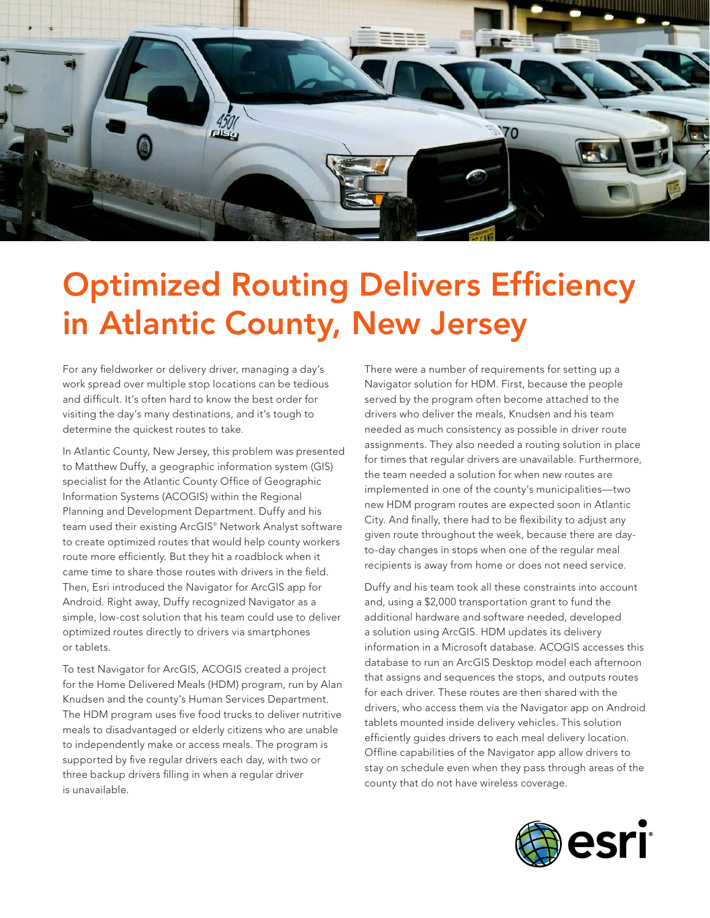

## Optimized Routing Delivers Efficiency in Atlantic County, New Jersey

For any fieldworker or delivery driver, managing a day's work spread over multiple stop locations can be tedious and difficult. It's often hard to know the best order for visiting the day's many destinations, and it's tough to determine the quickest routes to take.

In Atlantic County, New Jersey, this problem was presented to Matthew Duffy, a geographic information system (GIS) specialist for the Atlantic County Office of Geographic Information Systems (ACOGIS) within the Regional Planning and Development Department. Duffy and his team used their existing ArcGIS® Network Analyst software to create optimized routes that would help county workers route more efficiently. But they hit a roadblock when it came time to share those routes with drivers in the field. Then, Esri introduced the Navigator for ArcGIS app for Android. Right away, Duffy recognized Navigator as a simple, low-cost solution that his team could use to deliver optimized routes directly to drivers via smartphones or tablets.

To test Navigator for ArcGIS, ACOGIS created a project for the Home Delivered Meals (HDM) program, run by Alan Knudsen and the county's Human Services Department. The HDM program uses five food trucks to deliver nutritive meals to disadvantaged or elderly citizens who are unable to independently make or access meals. The program is supported by five regular drivers each day, with two or three backup drivers filling in when a regular driver is unavailable.

There were a number of requirements for setting up a Navigator solution for HDM. First, because the people served by the program often become attached to the drivers who deliver the meals, Knudsen and his team needed as much consistency as possible in driver route assignments. They also needed a routing solution in place for times that regular drivers are unavailable. Furthermore, the team needed a solution for when new routes are implemented in one of the county's municipalities—two new HDM program routes are expected soon in Atlantic City. And finally, there had to be flexibility to adjust any given route throughout the week, because there are dayto-day changes in stops when one of the regular meal recipients is away from home or does not need service.

Duffy and his team took all these constraints into account and, using a \$2,000 transportation grant to fund the additional hardware and software needed, developed a solution using ArcGIS. HDM updates its delivery information in a Microsoft database. ACOGIS accesses this database to run an ArcGIS Desktop model each afternoon that assigns and sequences the stops, and outputs routes for each driver. These routes are then shared with the drivers, who access them via the Navigator app on Android tablets mounted inside delivery vehicles. This solution efficiently guides drivers to each meal delivery location. Offline capabilities of the Navigator app allow drivers to stay on schedule even when they pass through areas of the county that do not have wireless coverage.